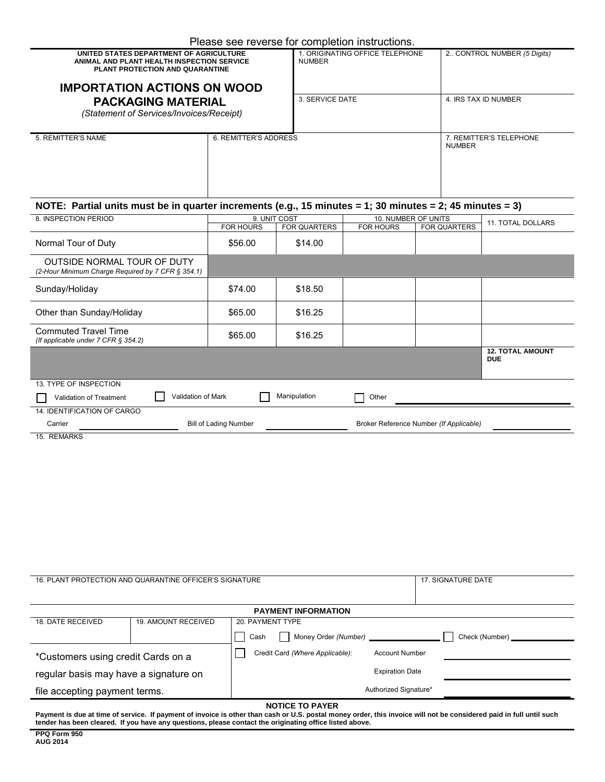| Please see reverse for completion instructions. |  |  |  |
|-------------------------------------------------|--|--|--|
|                                                 |  |  |  |

|                                                                                                                                                                | Please see reverse for completion instructions. |                                         |                                         |                              |                                       |  |  |
|----------------------------------------------------------------------------------------------------------------------------------------------------------------|-------------------------------------------------|-----------------------------------------|-----------------------------------------|------------------------------|---------------------------------------|--|--|
| UNITED STATES DEPARTMENT OF AGRICULTURE<br>ANIMAL AND PLANT HEALTH INSPECTION SERVICE<br>PLANT PROTECTION AND QUARANTINE<br><b>IMPORTATION ACTIONS ON WOOD</b> | <b>NUMBER</b>                                   | 1. ORIGINATING OFFICE TELEPHONE         |                                         | 2. CONTROL NUMBER (5 Digits) |                                       |  |  |
| <b>PACKAGING MATERIAL</b>                                                                                                                                      |                                                 | 3. SERVICE DATE                         |                                         | 4. IRS TAX ID NUMBER         |                                       |  |  |
|                                                                                                                                                                |                                                 |                                         |                                         |                              |                                       |  |  |
| (Statement of Services/Invoices/Receipt)                                                                                                                       |                                                 |                                         |                                         |                              |                                       |  |  |
| 5. REMITTER'S NAME                                                                                                                                             | 6. REMITTER'S ADDRESS                           |                                         | <b>NUMBER</b>                           | 7. REMITTER'S TELEPHONE      |                                       |  |  |
| NOTE: Partial units must be in quarter increments (e.g., 15 minutes = 1; 30 minutes = 2; 45 minutes = 3)                                                       |                                                 |                                         |                                         |                              |                                       |  |  |
| 8. INSPECTION PERIOD                                                                                                                                           | 9. UNIT COST<br><b>FOR HOURS</b>                |                                         | 10. NUMBER OF UNITS<br><b>FOR HOURS</b> | <b>FOR QUARTERS</b>          | <b>11. TOTAL DOLLARS</b>              |  |  |
| Normal Tour of Duty                                                                                                                                            | \$56.00                                         | <b>FOR QUARTERS</b><br>\$14.00          |                                         |                              |                                       |  |  |
| OUTSIDE NORMAL TOUR OF DUTY<br>(2-Hour Minimum Charge Required by 7 CFR § 354.1)                                                                               |                                                 |                                         |                                         |                              |                                       |  |  |
| Sunday/Holiday                                                                                                                                                 | \$74.00                                         | \$18.50                                 |                                         |                              |                                       |  |  |
| Other than Sunday/Holiday                                                                                                                                      | \$65.00                                         | \$16.25                                 |                                         |                              |                                       |  |  |
| <b>Commuted Travel Time</b><br>(If applicable under 7 CFR § 354.2)                                                                                             | \$65.00                                         | \$16.25                                 |                                         |                              |                                       |  |  |
|                                                                                                                                                                |                                                 |                                         |                                         |                              | <b>12. TOTAL AMOUNT</b><br><b>DUE</b> |  |  |
| 13. TYPE OF INSPECTION                                                                                                                                         |                                                 |                                         |                                         |                              |                                       |  |  |
| Validation of Mark<br>Validation of Treatment                                                                                                                  |                                                 | Manipulation                            | Other                                   |                              |                                       |  |  |
| 14. IDENTIFICATION OF CARGO<br><b>Bill of Lading Number</b><br>Carrier                                                                                         |                                                 | Broker Reference Number (If Applicable) |                                         |                              |                                       |  |  |
| 15. REMARKS                                                                                                                                                    |                                                 |                                         |                                         |                              |                                       |  |  |

| 16. PLANT PROTECTION AND QUARANTINE OFFICER'S SIGNATURE | 17. SIGNATURE DATE         |                                                          |                |  |  |  |  |
|---------------------------------------------------------|----------------------------|----------------------------------------------------------|----------------|--|--|--|--|
|                                                         |                            |                                                          |                |  |  |  |  |
| <b>PAYMENT INFORMATION</b>                              |                            |                                                          |                |  |  |  |  |
| 18. DATE RECEIVED                                       | <b>19. AMOUNT RECEIVED</b> | 20. PAYMENT TYPE                                         |                |  |  |  |  |
|                                                         |                            | Money Order (Number) _____________<br>Cash               | Check (Number) |  |  |  |  |
| *Customers using credit Cards on a                      |                            | Credit Card (Where Applicable):<br><b>Account Number</b> |                |  |  |  |  |
| regular basis may have a signature on                   |                            | <b>Expiration Date</b>                                   |                |  |  |  |  |
| file accepting payment terms.                           |                            | Authorized Signature*                                    |                |  |  |  |  |
| NOTICE TO PAYER                                         |                            |                                                          |                |  |  |  |  |

**NOTICE TO PAYER Payment is due at time of service. If payment of invoice is other than cash or U.S. postal money order, this invoice will not be considered paid in full until such tender has been cleared. If you have any questions, please contact the originating office listed above.**